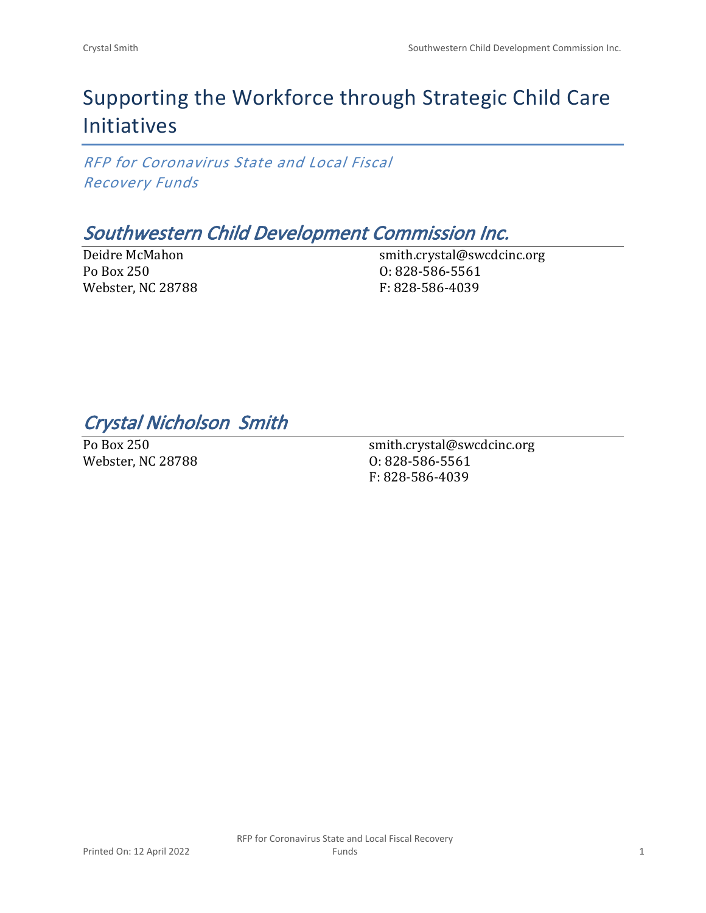# Supporting the Workforce through Strategic Child Care Initiatives

*RFP for Coronavirus State and Local Fiscal Recovery Funds*

## *Southwestern Child Development Commission Inc.*

Deidre McMahon Po Box 250 Webster, NC 28788 smith.crystal@swcdcinc.org O: 828-586-5561 F: 828-586-4039

*Crystal Nicholson Smith* 

Po Box 250 Webster, NC 28788

smith.crystal@swcdcinc.org O: 828-586-5561 F: 828-586-4039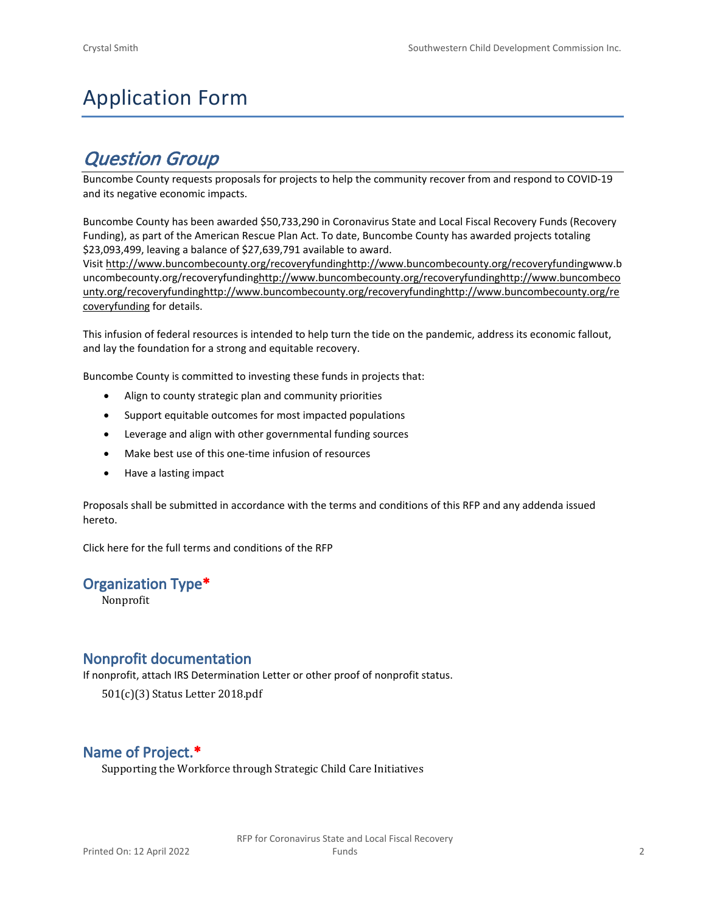# Application Form

## *Question Group*

Buncombe County requests proposals for projects to help the community recover from and respond to COVID-19 and its negative economic impacts.

Buncombe County has been awarded \$50,733,290 in Coronavirus State and Local Fiscal Recovery Funds (Recovery Funding), as part of the American Rescue Plan Act. To date, Buncombe County has awarded projects totaling \$23,093,499, leaving a balance of \$27,639,791 available to award.

Visit [http://www.buncombecounty.org/recoveryfundinghttp://www.buncombecounty.org/recoveryfundingwww.b](http://www.buncombecounty.org/recoveryfunding) [uncombecounty.org/recoveryfundinghttp://www.buncombecounty.org/recoveryfundinghttp://www.buncombeco](http://www.buncombecounty.org/recoveryfunding) [unty.org/recoveryfundinghttp://www.buncombecounty.org/recoveryfundinghttp://www.buncombecounty.org/re](http://www.buncombecounty.org/recoveryfunding) [coveryfunding](http://www.buncombecounty.org/recoveryfunding) for details.

This infusion of federal resources is intended to help turn the tide on the pandemic, address its economic fallout, and lay the foundation for a strong and equitable recovery.

Buncombe County is committed to investing these funds in projects that:

- Align to county strategic plan and community priorities
- Support equitable outcomes for most impacted populations
- Leverage and align with other governmental funding sources
- Make best use of this one-time infusion of resources
- Have a lasting impact

Proposals shall be submitted in accordance with the terms and conditions of this RFP and any addenda issued hereto.

Click [here](https://www.buncombecounty.org/common/purchasing/Buncombe%20Recovery%20Funding%20RFP%202022.pdf) for the full terms and conditions of the RFP

#### **Organization Type\***

Nonprofit

#### **Nonprofit documentation**

If nonprofit, attach IRS Determination Letter or other proof of nonprofit status.

501(c)(3) Status Letter 2018.pdf

### **Name of Project.\***

Supporting the Workforce through Strategic Child Care Initiatives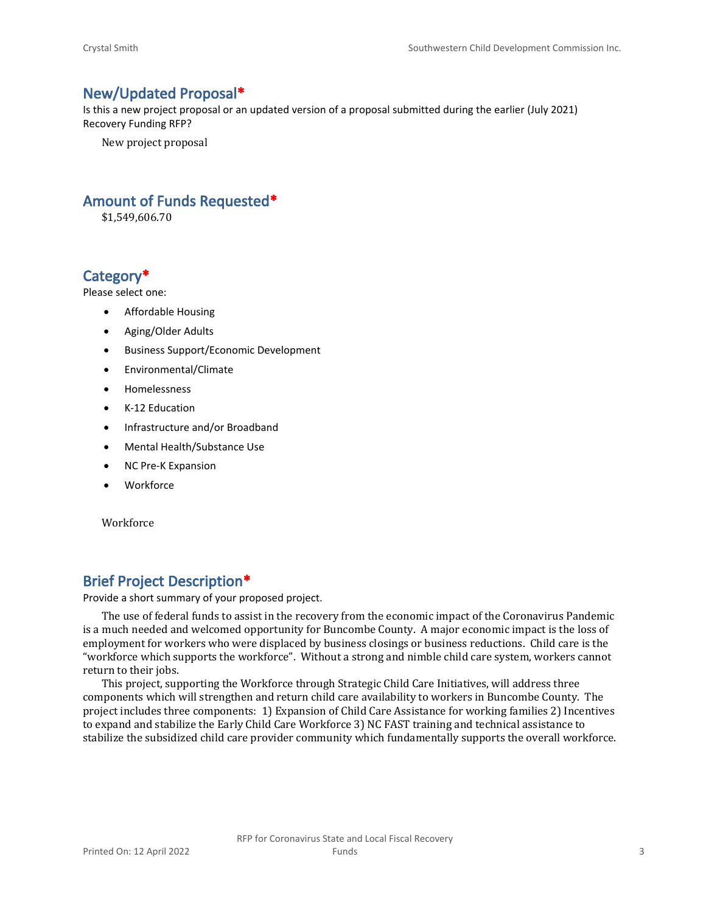#### **New/Updated Proposal\***

Is this a new project proposal or an updated version of a proposal submitted during the earlier (July 2021) Recovery Funding RFP?

New project proposal

### **Amount of Funds Requested\***

\$1,549,606.70

#### **Category\***

Please select one:

- Affordable Housing
- Aging/Older Adults
- Business Support/Economic Development
- Environmental/Climate
- Homelessness
- K-12 Education
- Infrastructure and/or Broadband
- Mental Health/Substance Use
- NC Pre-K Expansion
- Workforce

Workforce

### **Brief Project Description\***

Provide a short summary of your proposed project.

The use of federal funds to assist in the recovery from the economic impact of the Coronavirus Pandemic is a much needed and welcomed opportunity for Buncombe County. A major economic impact is the loss of employment for workers who were displaced by business closings or business reductions. Child care is the "workforce which supports the workforce". Without a strong and nimble child care system, workers cannot return to their jobs.

This project, supporting the Workforce through Strategic Child Care Initiatives, will address three components which will strengthen and return child care availability to workers in Buncombe County. The project includes three components: 1) Expansion of Child Care Assistance for working families 2) Incentives to expand and stabilize the Early Child Care Workforce 3) NC FAST training and technical assistance to stabilize the subsidized child care provider community which fundamentally supports the overall workforce.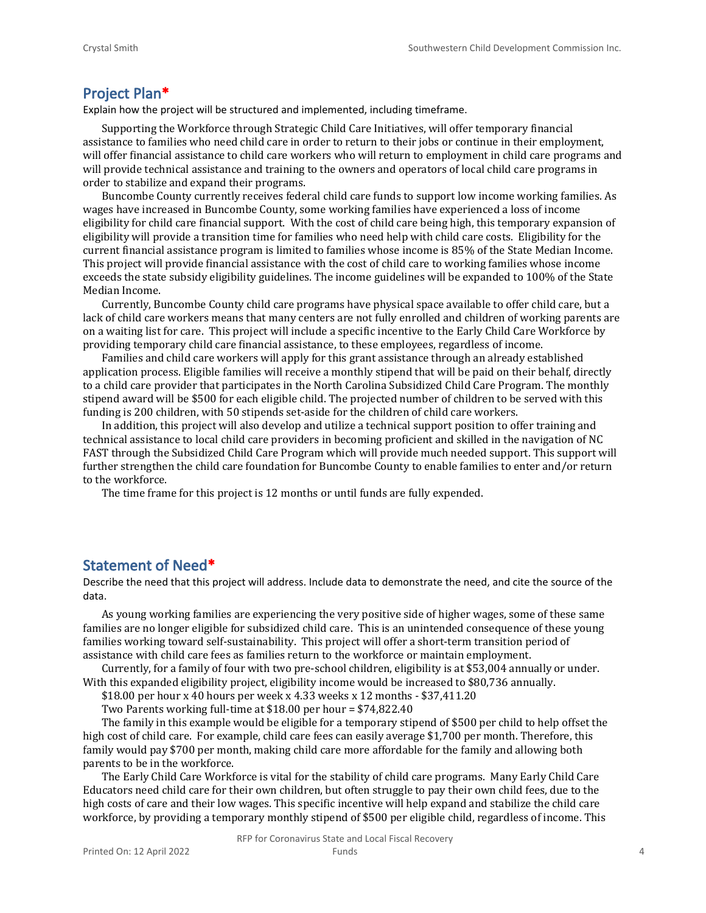#### **Project Plan\***

Explain how the project will be structured and implemented, including timeframe.

Supporting the Workforce through Strategic Child Care Initiatives, will offer temporary financial assistance to families who need child care in order to return to their jobs or continue in their employment, will offer financial assistance to child care workers who will return to employment in child care programs and will provide technical assistance and training to the owners and operators of local child care programs in order to stabilize and expand their programs.

Buncombe County currently receives federal child care funds to support low income working families. As wages have increased in Buncombe County, some working families have experienced a loss of income eligibility for child care financial support. With the cost of child care being high, this temporary expansion of eligibility will provide a transition time for families who need help with child care costs. Eligibility for the current financial assistance program is limited to families whose income is 85% of the State Median Income. This project will provide financial assistance with the cost of child care to working families whose income exceeds the state subsidy eligibility guidelines. The income guidelines will be expanded to 100% of the State Median Income.

Currently, Buncombe County child care programs have physical space available to offer child care, but a lack of child care workers means that many centers are not fully enrolled and children of working parents are on a waiting list for care. This project will include a specific incentive to the Early Child Care Workforce by providing temporary child care financial assistance, to these employees, regardless of income.

Families and child care workers will apply for this grant assistance through an already established application process. Eligible families will receive a monthly stipend that will be paid on their behalf, directly to a child care provider that participates in the North Carolina Subsidized Child Care Program. The monthly stipend award will be \$500 for each eligible child. The projected number of children to be served with this funding is 200 children, with 50 stipends set-aside for the children of child care workers.

In addition, this project will also develop and utilize a technical support position to offer training and technical assistance to local child care providers in becoming proficient and skilled in the navigation of NC FAST through the Subsidized Child Care Program which will provide much needed support. This support will further strengthen the child care foundation for Buncombe County to enable families to enter and/or return to the workforce.

The time frame for this project is 12 months or until funds are fully expended.

#### **Statement of Need\***

Describe the need that this project will address. Include data to demonstrate the need, and cite the source of the data.

As young working families are experiencing the very positive side of higher wages, some of these same families are no longer eligible for subsidized child care. This is an unintended consequence of these young families working toward self-sustainability. This project will offer a short-term transition period of assistance with child care fees as families return to the workforce or maintain employment.

Currently, for a family of four with two pre-school children, eligibility is at \$53,004 annually or under. With this expanded eligibility project, eligibility income would be increased to \$80,736 annually.

\$18.00 per hour x 40 hours per week x 4.33 weeks x 12 months - \$37,411.20

Two Parents working full-time at \$18.00 per hour = \$74,822.40

The family in this example would be eligible for a temporary stipend of \$500 per child to help offset the high cost of child care. For example, child care fees can easily average \$1,700 per month. Therefore, this family would pay \$700 per month, making child care more affordable for the family and allowing both parents to be in the workforce.

The Early Child Care Workforce is vital for the stability of child care programs. Many Early Child Care Educators need child care for their own children, but often struggle to pay their own child fees, due to the high costs of care and their low wages. This specific incentive will help expand and stabilize the child care workforce, by providing a temporary monthly stipend of \$500 per eligible child, regardless of income. This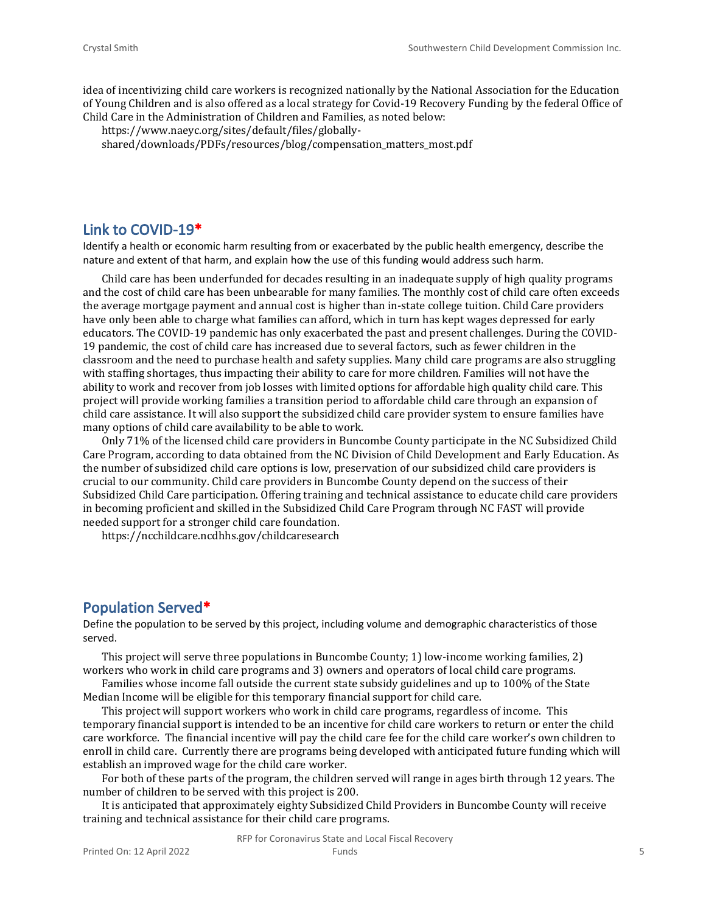idea of incentivizing child care workers is recognized nationally by the National Association for the Education of Young Children and is also offered as a local strategy for Covid-19 Recovery Funding by the federal Office of Child Care in the Administration of Children and Families, as noted below:

https://www.naeyc.org/sites/default/files/globallyshared/downloads/PDFs/resources/blog/compensation\_matters\_most.pdf

#### **Link to COVID-19\***

Identify a health or economic harm resulting from or exacerbated by the public health emergency, describe the nature and extent of that harm, and explain how the use of this funding would address such harm.

Child care has been underfunded for decades resulting in an inadequate supply of high quality programs and the cost of child care has been unbearable for many families. The monthly cost of child care often exceeds the average mortgage payment and annual cost is higher than in-state college tuition. Child Care providers have only been able to charge what families can afford, which in turn has kept wages depressed for early educators. The COVID-19 pandemic has only exacerbated the past and present challenges. During the COVID-19 pandemic, the cost of child care has increased due to several factors, such as fewer children in the classroom and the need to purchase health and safety supplies. Many child care programs are also struggling with staffing shortages, thus impacting their ability to care for more children. Families will not have the ability to work and recover from job losses with limited options for affordable high quality child care. This project will provide working families a transition period to affordable child care through an expansion of child care assistance. It will also support the subsidized child care provider system to ensure families have many options of child care availability to be able to work.

Only 71% of the licensed child care providers in Buncombe County participate in the NC Subsidized Child Care Program, according to data obtained from the NC Division of Child Development and Early Education. As the number of subsidized child care options is low, preservation of our subsidized child care providers is crucial to our community. Child care providers in Buncombe County depend on the success of their Subsidized Child Care participation. Offering training and technical assistance to educate child care providers in becoming proficient and skilled in the Subsidized Child Care Program through NC FAST will provide needed support for a stronger child care foundation.

https://ncchildcare.ncdhhs.gov/childcaresearch

#### **Population Served\***

Define the population to be served by this project, including volume and demographic characteristics of those served.

This project will serve three populations in Buncombe County; 1) low-income working families, 2) workers who work in child care programs and 3) owners and operators of local child care programs.

Families whose income fall outside the current state subsidy guidelines and up to 100% of the State Median Income will be eligible for this temporary financial support for child care.

This project will support workers who work in child care programs, regardless of income. This temporary financial support is intended to be an incentive for child care workers to return or enter the child care workforce. The financial incentive will pay the child care fee for the child care worker's own children to enroll in child care. Currently there are programs being developed with anticipated future funding which will establish an improved wage for the child care worker.

For both of these parts of the program, the children served will range in ages birth through 12 years. The number of children to be served with this project is 200.

It is anticipated that approximately eighty Subsidized Child Providers in Buncombe County will receive training and technical assistance for their child care programs.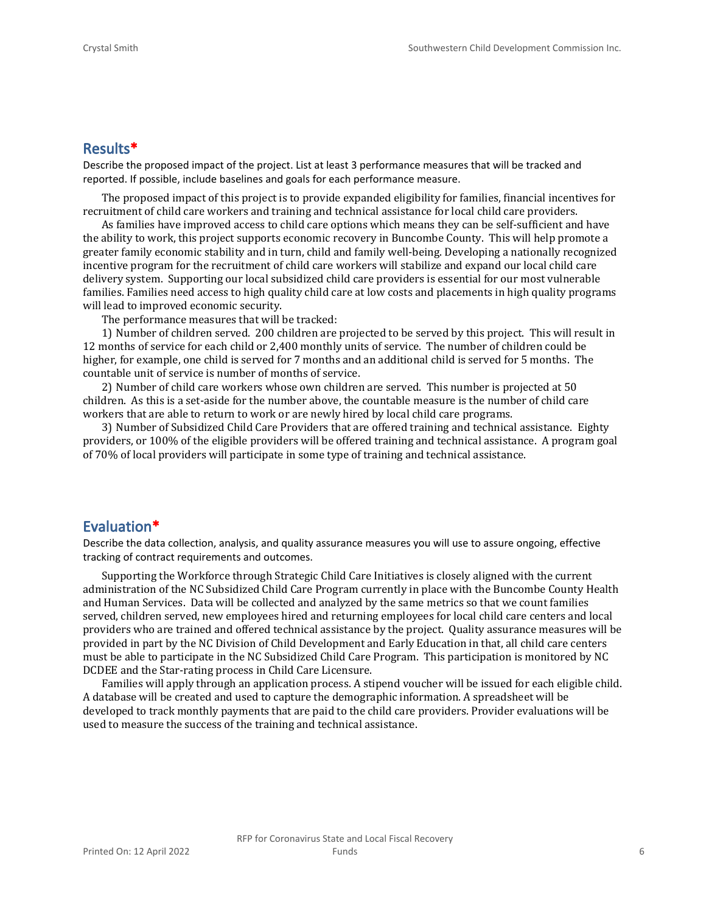#### **Results\***

Describe the proposed impact of the project. List at least 3 performance measures that will be tracked and reported. If possible, include baselines and goals for each performance measure.

The proposed impact of this project is to provide expanded eligibility for families, financial incentives for recruitment of child care workers and training and technical assistance for local child care providers.

As families have improved access to child care options which means they can be self-sufficient and have the ability to work, this project supports economic recovery in Buncombe County. This will help promote a greater family economic stability and in turn, child and family well-being. Developing a nationally recognized incentive program for the recruitment of child care workers will stabilize and expand our local child care delivery system. Supporting our local subsidized child care providers is essential for our most vulnerable families. Families need access to high quality child care at low costs and placements in high quality programs will lead to improved economic security.

The performance measures that will be tracked:

1) Number of children served. 200 children are projected to be served by this project. This will result in 12 months of service for each child or 2,400 monthly units of service. The number of children could be higher, for example, one child is served for 7 months and an additional child is served for 5 months. The countable unit of service is number of months of service.

2) Number of child care workers whose own children are served. This number is projected at 50 children. As this is a set-aside for the number above, the countable measure is the number of child care workers that are able to return to work or are newly hired by local child care programs.

3) Number of Subsidized Child Care Providers that are offered training and technical assistance. Eighty providers, or 100% of the eligible providers will be offered training and technical assistance. A program goal of 70% of local providers will participate in some type of training and technical assistance.

#### **Evaluation\***

Describe the data collection, analysis, and quality assurance measures you will use to assure ongoing, effective tracking of contract requirements and outcomes.

Supporting the Workforce through Strategic Child Care Initiatives is closely aligned with the current administration of the NC Subsidized Child Care Program currently in place with the Buncombe County Health and Human Services. Data will be collected and analyzed by the same metrics so that we count families served, children served, new employees hired and returning employees for local child care centers and local providers who are trained and offered technical assistance by the project. Quality assurance measures will be provided in part by the NC Division of Child Development and Early Education in that, all child care centers must be able to participate in the NC Subsidized Child Care Program. This participation is monitored by NC DCDEE and the Star-rating process in Child Care Licensure.

Families will apply through an application process. A stipend voucher will be issued for each eligible child. A database will be created and used to capture the demographic information. A spreadsheet will be developed to track monthly payments that are paid to the child care providers. Provider evaluations will be used to measure the success of the training and technical assistance.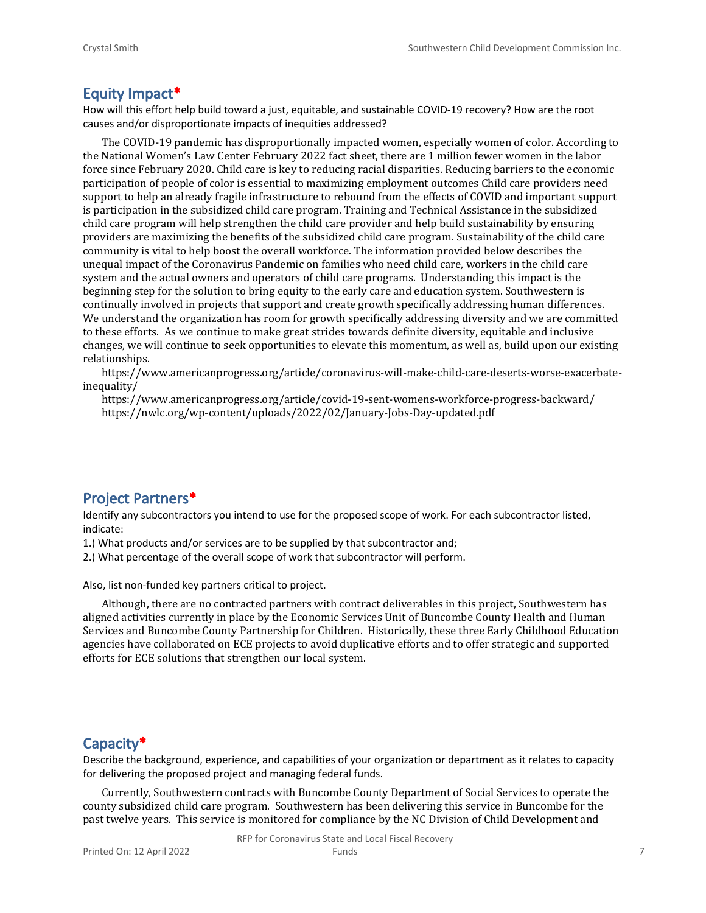#### **Equity Impact\***

How will this effort help build toward a just, equitable, and sustainable COVID-19 recovery? How are the root causes and/or disproportionate impacts of inequities addressed?

The COVID-19 pandemic has disproportionally impacted women, especially women of color. According to the National Women's Law Center February 2022 fact sheet, there are 1 million fewer women in the labor force since February 2020. Child care is key to reducing racial disparities. Reducing barriers to the economic participation of people of color is essential to maximizing employment outcomes Child care providers need support to help an already fragile infrastructure to rebound from the effects of COVID and important support is participation in the subsidized child care program. Training and Technical Assistance in the subsidized child care program will help strengthen the child care provider and help build sustainability by ensuring providers are maximizing the benefits of the subsidized child care program. Sustainability of the child care community is vital to help boost the overall workforce. The information provided below describes the unequal impact of the Coronavirus Pandemic on families who need child care, workers in the child care system and the actual owners and operators of child care programs. Understanding this impact is the beginning step for the solution to bring equity to the early care and education system. Southwestern is continually involved in projects that support and create growth specifically addressing human differences. We understand the organization has room for growth specifically addressing diversity and we are committed to these efforts. As we continue to make great strides towards definite diversity, equitable and inclusive changes, we will continue to seek opportunities to elevate this momentum, as well as, build upon our existing relationships.

https://www.americanprogress.org/article/coronavirus-will-make-child-care-deserts-worse-exacerbateinequality/

https://www.americanprogress.org/article/covid-19-sent-womens-workforce-progress-backward/ https://nwlc.org/wp-content/uploads/2022/02/January-Jobs-Day-updated.pdf

### **Project Partners\***

Identify any subcontractors you intend to use for the proposed scope of work. For each subcontractor listed, indicate:

1.) What products and/or services are to be supplied by that subcontractor and;

2.) What percentage of the overall scope of work that subcontractor will perform.

Also, list non-funded key partners critical to project.

Although, there are no contracted partners with contract deliverables in this project, Southwestern has aligned activities currently in place by the Economic Services Unit of Buncombe County Health and Human Services and Buncombe County Partnership for Children. Historically, these three Early Childhood Education agencies have collaborated on ECE projects to avoid duplicative efforts and to offer strategic and supported efforts for ECE solutions that strengthen our local system.

#### **Capacity\***

Describe the background, experience, and capabilities of your organization or department as it relates to capacity for delivering the proposed project and managing federal funds.

Currently, Southwestern contracts with Buncombe County Department of Social Services to operate the county subsidized child care program. Southwestern has been delivering this service in Buncombe for the past twelve years. This service is monitored for compliance by the NC Division of Child Development and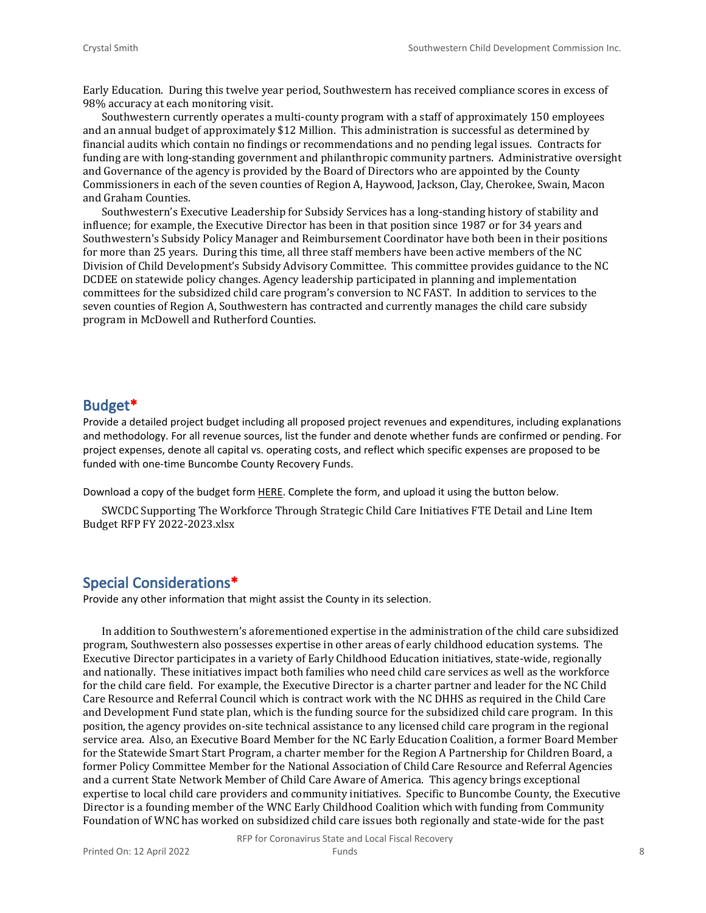Early Education. During this twelve year period, Southwestern has received compliance scores in excess of 98% accuracy at each monitoring visit.

Southwestern currently operates a multi-county program with a staff of approximately 150 employees and an annual budget of approximately \$12 Million. This administration is successful as determined by financial audits which contain no findings or recommendations and no pending legal issues. Contracts for funding are with long-standing government and philanthropic community partners. Administrative oversight and Governance of the agency is provided by the Board of Directors who are appointed by the County Commissioners in each of the seven counties of Region A, Haywood, Jackson, Clay, Cherokee, Swain, Macon and Graham Counties.

Southwestern's Executive Leadership for Subsidy Services has a long-standing history of stability and influence; for example, the Executive Director has been in that position since 1987 or for 34 years and Southwestern's Subsidy Policy Manager and Reimbursement Coordinator have both been in their positions for more than 25 years. During this time, all three staff members have been active members of the NC Division of Child Development's Subsidy Advisory Committee. This committee provides guidance to the NC DCDEE on statewide policy changes. Agency leadership participated in planning and implementation committees for the subsidized child care program's conversion to NC FAST. In addition to services to the seven counties of Region A, Southwestern has contracted and currently manages the child care subsidy program in McDowell and Rutherford Counties.

#### **Budget\***

Provide a detailed project budget including all proposed project revenues and expenditures, including explanations and methodology. For all revenue sources, list the funder and denote whether funds are confirmed or pending. For project expenses, denote all capital vs. operating costs, and reflect which specific expenses are proposed to be funded with one-time Buncombe County Recovery Funds.

Download a copy of the budget form [HERE](https://buncombecounty.org/common/community-investment/grants/early-childhood-education/Recovery-Funds-budget-template.xlsx). Complete the form, and upload it using the button below.

SWCDC Supporting The Workforce Through Strategic Child Care Initiatives FTE Detail and Line Item Budget RFP FY 2022-2023.xlsx

### **Special Considerations\***

Provide any other information that might assist the County in its selection.

In addition to Southwestern's aforementioned expertise in the administration of the child care subsidized program, Southwestern also possesses expertise in other areas of early childhood education systems. The Executive Director participates in a variety of Early Childhood Education initiatives, state-wide, regionally and nationally. These initiatives impact both families who need child care services as well as the workforce for the child care field. For example, the Executive Director is a charter partner and leader for the NC Child Care Resource and Referral Council which is contract work with the NC DHHS as required in the Child Care and Development Fund state plan, which is the funding source for the subsidized child care program. In this position, the agency provides on-site technical assistance to any licensed child care program in the regional service area. Also, an Executive Board Member for the NC Early Education Coalition, a former Board Member for the Statewide Smart Start Program, a charter member for the Region A Partnership for Children Board, a former Policy Committee Member for the National Association of Child Care Resource and Referral Agencies and a current State Network Member of Child Care Aware of America. This agency brings exceptional expertise to local child care providers and community initiatives. Specific to Buncombe County, the Executive Director is a founding member of the WNC Early Childhood Coalition which with funding from Community Foundation of WNC has worked on subsidized child care issues both regionally and state-wide for the past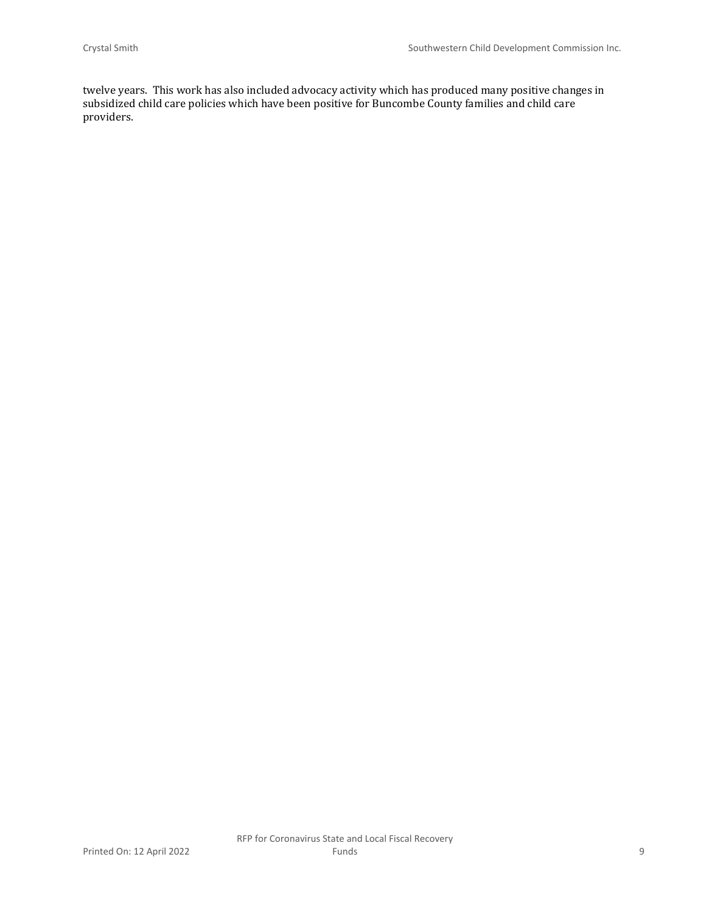twelve years. This work has also included advocacy activity which has produced many positive changes in subsidized child care policies which have been positive for Buncombe County families and child care providers.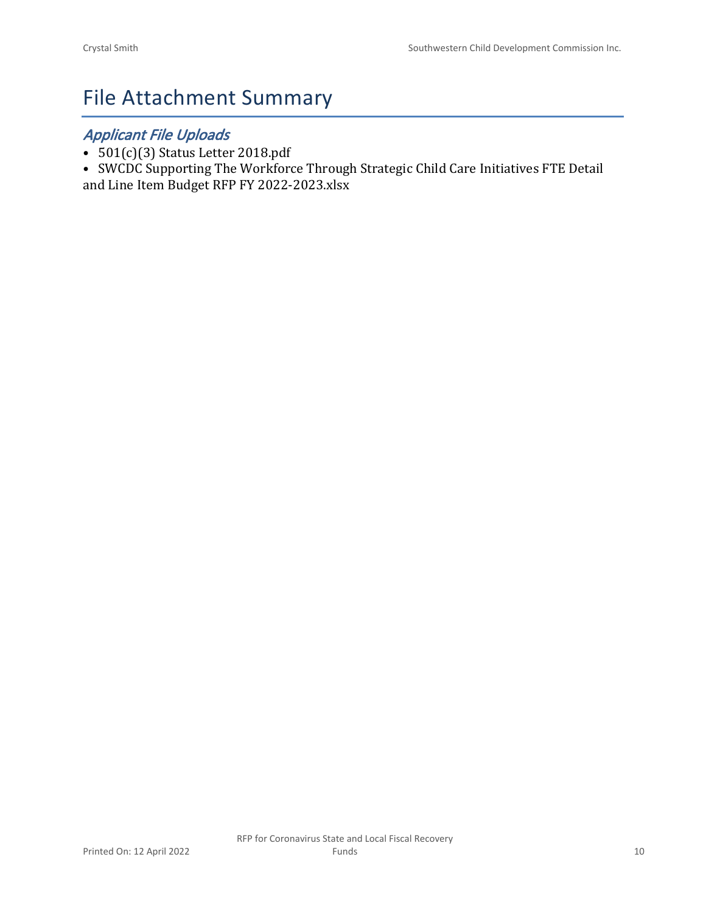# File Attachment Summary

### *Applicant File Uploads*

- 501(c)(3) Status Letter 2018.pdf
- SWCDC Supporting The Workforce Through Strategic Child Care Initiatives FTE Detail and Line Item Budget RFP FY 2022-2023.xlsx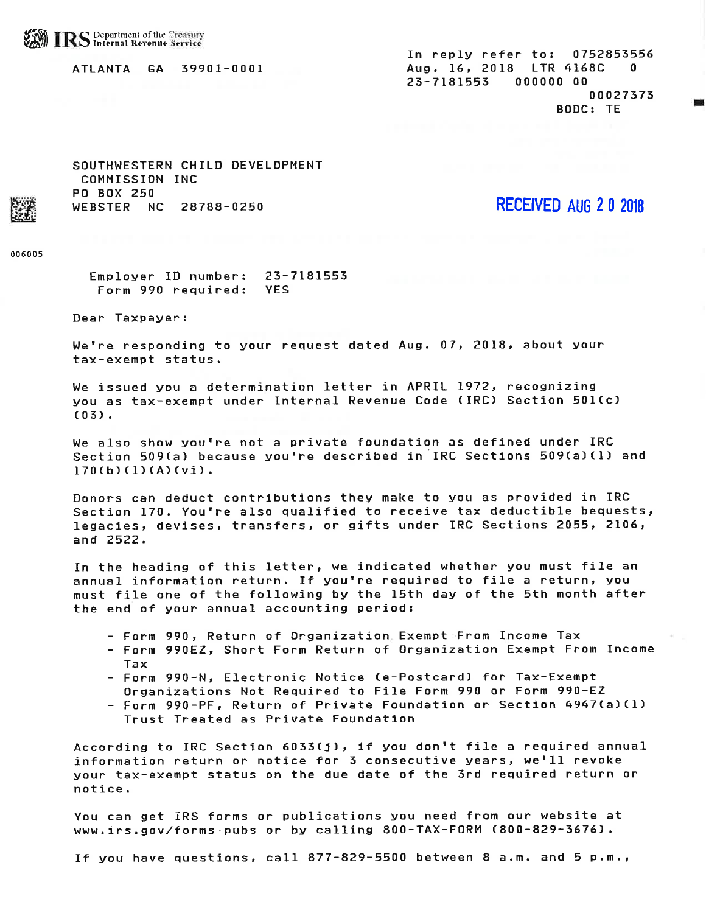#### ATLANTA GA 39901-0001

In reply refer to: 0752853556 Aug. 16, 2018 LTR 4168C  $\mathbf{u}$ 23-7181553 000000 00 00027373 BODC: TE

SOUTHWESTERN CHILD DEVELOPMENT COMMISSION INC **PO BOX 250** WEBSTER NC 28788-0250

**RECEIVED AUG 2 0 2018** 

006005

Employer ID number: 23-7181553 Form 990 required: **YES** 

Dear Taxpayer:

We're responding to your request dated Aug. 07, 2018, about your tax-exempt status.

We issued you a determination letter in APRIL 1972, recognizing you as tax-exempt under Internal Revenue Code (IRC) Section 501(c)  $(03)$ .

We also show you're not a private foundation as defined under IRC Section 509(a) because you're described in IRC Sections 509(a)(1) and  $170(b)(1)(A)(vi)$ .

Donors can deduct contributions they make to you as provided in IRC Section 170. You're also qualified to receive tax deductible bequests, legacies, devises, transfers, or gifts under IRC Sections 2055, 2106, and 2522.

In the heading of this letter, we indicated whether you must file an annual information return. If you're required to file a return, you must file one of the following by the 15th day of the 5th month after the end of your annual accounting period:

- Form 990, Return of Organization Exempt From Income Tax
- Form 990EZ, Short Form Return of Organization Exempt From Income Tax
- Form 990-N, Electronic Notice (e-Postcard) for Tax-Exempt Organizations Not Required to File Form 990 or Form 990-EZ
- Form 990-PF, Return of Private Foundation or Section 4947(a)(1) Trust Treated as Private Foundation

According to IRC Section 6033(j), if you don't file a required annual information return or notice for 3 consecutive years, we'll revoke your tax-exempt status on the due date of the 3rd required return or notice.

You can get IRS forms or publications you need from our website at www.irs.gov/forms-pubs or by calling 800-TAX-FORM (800-829-3676).

If you have questions, call 877-829-5500 between 8 a.m. and 5 p.m.,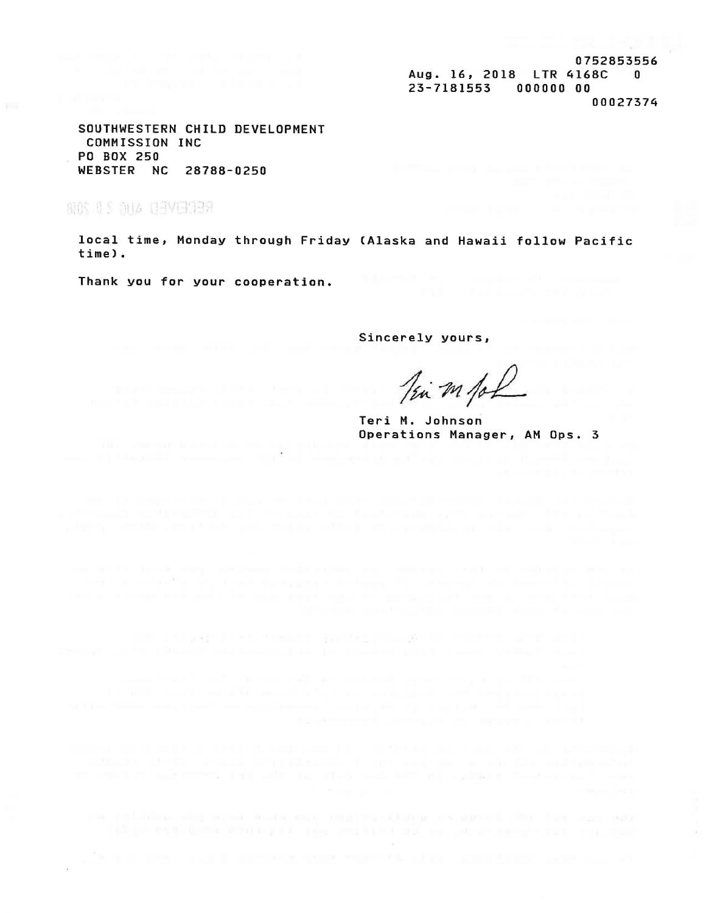0752853556 Aug. 16, 2018 LTR 4168C  $\overline{\mathbf{0}}$ 23-7181553 000000 00 00027374

SOUTHWESTERN CHILD DEVELOPMENT COMMISSION INC **PO BOX 250** WEBSTER NC 28788-0250

NOS AS DIA DAVERA

local time, Monday through Friday (Alaska and Hawaii follow Pacific time).

Thank you for your cooperation.

Sincerely yours,

Tim m for

Teri M. Johnson Operations Manager, AM Ops. 3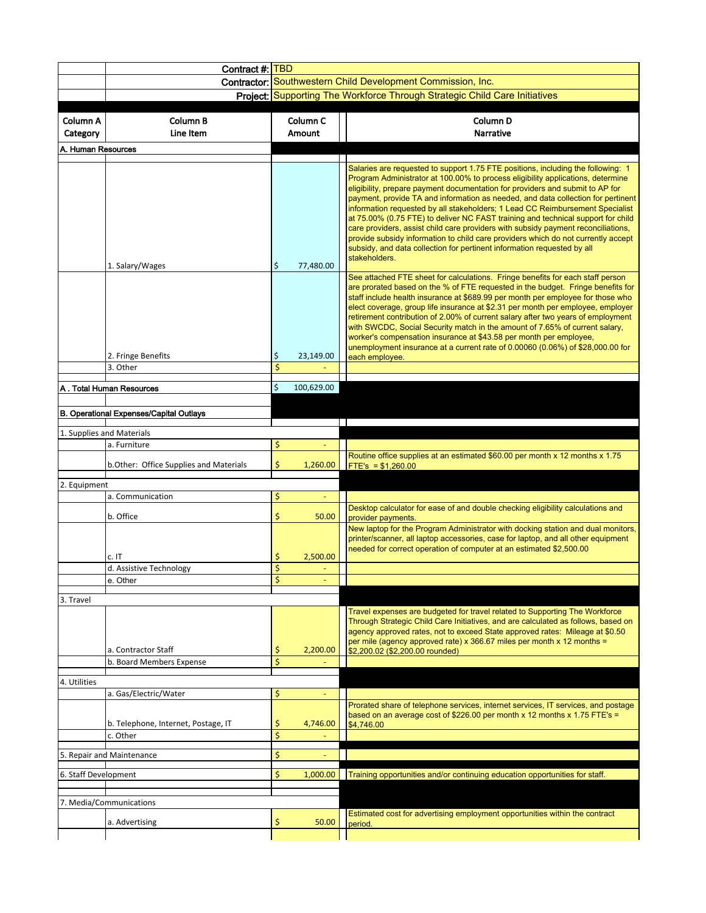|                           | Contract #: TBD                                                    |                                  |  |                                                                                                                                                                                                                                                                                                                                                                                                                                                                                                                                                                                                                                                                                                                                                                                     |  |  |  |  |  |  |  |
|---------------------------|--------------------------------------------------------------------|----------------------------------|--|-------------------------------------------------------------------------------------------------------------------------------------------------------------------------------------------------------------------------------------------------------------------------------------------------------------------------------------------------------------------------------------------------------------------------------------------------------------------------------------------------------------------------------------------------------------------------------------------------------------------------------------------------------------------------------------------------------------------------------------------------------------------------------------|--|--|--|--|--|--|--|
|                           | <b>Contractor: Southwestern Child Development Commission, Inc.</b> |                                  |  |                                                                                                                                                                                                                                                                                                                                                                                                                                                                                                                                                                                                                                                                                                                                                                                     |  |  |  |  |  |  |  |
|                           |                                                                    |                                  |  | Project: Supporting The Workforce Through Strategic Child Care Initiatives                                                                                                                                                                                                                                                                                                                                                                                                                                                                                                                                                                                                                                                                                                          |  |  |  |  |  |  |  |
|                           |                                                                    |                                  |  |                                                                                                                                                                                                                                                                                                                                                                                                                                                                                                                                                                                                                                                                                                                                                                                     |  |  |  |  |  |  |  |
| Column A<br>Category      | Column B<br>Line Item                                              | Column <sub>C</sub><br>Amount    |  | Column <sub>D</sub><br><b>Narrative</b>                                                                                                                                                                                                                                                                                                                                                                                                                                                                                                                                                                                                                                                                                                                                             |  |  |  |  |  |  |  |
|                           |                                                                    |                                  |  |                                                                                                                                                                                                                                                                                                                                                                                                                                                                                                                                                                                                                                                                                                                                                                                     |  |  |  |  |  |  |  |
|                           | A. Human Resources                                                 |                                  |  |                                                                                                                                                                                                                                                                                                                                                                                                                                                                                                                                                                                                                                                                                                                                                                                     |  |  |  |  |  |  |  |
|                           | 1. Salary/Wages                                                    | \$<br>77,480.00                  |  | Salaries are requested to support 1.75 FTE positions, including the following: 1<br>Program Administrator at 100.00% to process eligibility applications, determine<br>eligibility, prepare payment documentation for providers and submit to AP for<br>payment, provide TA and information as needed, and data collection for pertinent<br>information requested by all stakeholders; 1 Lead CC Reimbursement Specialist<br>at 75.00% (0.75 FTE) to deliver NC FAST training and technical support for child<br>care providers, assist child care providers with subsidy payment reconciliations,<br>provide subsidy information to child care providers which do not currently accept<br>subsidy, and data collection for pertinent information requested by all<br>stakeholders. |  |  |  |  |  |  |  |
|                           | 2. Fringe Benefits                                                 | \$<br>23,149.00                  |  | See attached FTE sheet for calculations. Fringe benefits for each staff person<br>are prorated based on the % of FTE requested in the budget. Fringe benefits for<br>staff include health insurance at \$689.99 per month per employee for those who<br>elect coverage, group life insurance at \$2.31 per month per employee, employer<br>retirement contribution of 2.00% of current salary after two years of employment<br>with SWCDC, Social Security match in the amount of 7.65% of current salary,<br>worker's compensation insurance at \$43.58 per month per employee,<br>unemployment insurance at a current rate of 0.00060 (0.06%) of \$28,000.00 for<br>each employee.                                                                                                |  |  |  |  |  |  |  |
|                           | 3. Other                                                           | \$                               |  |                                                                                                                                                                                                                                                                                                                                                                                                                                                                                                                                                                                                                                                                                                                                                                                     |  |  |  |  |  |  |  |
|                           | A. Total Human Resources                                           | \$<br>100,629.00                 |  |                                                                                                                                                                                                                                                                                                                                                                                                                                                                                                                                                                                                                                                                                                                                                                                     |  |  |  |  |  |  |  |
|                           |                                                                    |                                  |  |                                                                                                                                                                                                                                                                                                                                                                                                                                                                                                                                                                                                                                                                                                                                                                                     |  |  |  |  |  |  |  |
|                           | <b>B. Operational Expenses/Capital Outlays</b>                     |                                  |  |                                                                                                                                                                                                                                                                                                                                                                                                                                                                                                                                                                                                                                                                                                                                                                                     |  |  |  |  |  |  |  |
| 1. Supplies and Materials |                                                                    |                                  |  |                                                                                                                                                                                                                                                                                                                                                                                                                                                                                                                                                                                                                                                                                                                                                                                     |  |  |  |  |  |  |  |
|                           | a. Furniture                                                       | \$                               |  |                                                                                                                                                                                                                                                                                                                                                                                                                                                                                                                                                                                                                                                                                                                                                                                     |  |  |  |  |  |  |  |
|                           | b.Other: Office Supplies and Materials                             | \$<br>1,260.00                   |  | Routine office supplies at an estimated \$60.00 per month x 12 months x 1.75<br>FTE's = $$1,260.00$                                                                                                                                                                                                                                                                                                                                                                                                                                                                                                                                                                                                                                                                                 |  |  |  |  |  |  |  |
| 2. Equipment              |                                                                    |                                  |  |                                                                                                                                                                                                                                                                                                                                                                                                                                                                                                                                                                                                                                                                                                                                                                                     |  |  |  |  |  |  |  |
|                           | a. Communication                                                   | \$                               |  |                                                                                                                                                                                                                                                                                                                                                                                                                                                                                                                                                                                                                                                                                                                                                                                     |  |  |  |  |  |  |  |
|                           | b. Office                                                          | \$<br>50.00                      |  | Desktop calculator for ease of and double checking eligibility calculations and<br>provider payments.                                                                                                                                                                                                                                                                                                                                                                                                                                                                                                                                                                                                                                                                               |  |  |  |  |  |  |  |
|                           | c. IT<br>d. Assistive Technology<br>e. Other                       | 2,500.00<br>\$<br>\$<br>÷<br>\$. |  | New laptop for the Program Administrator with docking station and dual monitors,<br>printer/scanner, all laptop accessories, case for laptop, and all other equipment<br>needed for correct operation of computer at an estimated \$2,500.00                                                                                                                                                                                                                                                                                                                                                                                                                                                                                                                                        |  |  |  |  |  |  |  |
|                           |                                                                    |                                  |  |                                                                                                                                                                                                                                                                                                                                                                                                                                                                                                                                                                                                                                                                                                                                                                                     |  |  |  |  |  |  |  |
| 3. Travel                 | a. Contractor Staff                                                | \$<br>2,200.00                   |  | Travel expenses are budgeted for travel related to Supporting The Workforce<br>Through Strategic Child Care Initiatives, and are calculated as follows, based on<br>agency approved rates, not to exceed State approved rates: Mileage at \$0.50<br>per mile (agency approved rate) x 366.67 miles per month x 12 months =<br>\$2,200.02 (\$2,200.00 rounded)                                                                                                                                                                                                                                                                                                                                                                                                                       |  |  |  |  |  |  |  |
|                           | b. Board Members Expense                                           | \$                               |  |                                                                                                                                                                                                                                                                                                                                                                                                                                                                                                                                                                                                                                                                                                                                                                                     |  |  |  |  |  |  |  |
| 4. Utilities              |                                                                    |                                  |  |                                                                                                                                                                                                                                                                                                                                                                                                                                                                                                                                                                                                                                                                                                                                                                                     |  |  |  |  |  |  |  |
|                           | a. Gas/Electric/Water                                              | \$                               |  |                                                                                                                                                                                                                                                                                                                                                                                                                                                                                                                                                                                                                                                                                                                                                                                     |  |  |  |  |  |  |  |
|                           | b. Telephone, Internet, Postage, IT                                | \$<br>4,746.00                   |  | Prorated share of telephone services, internet services, IT services, and postage<br>based on an average cost of \$226.00 per month x 12 months x 1.75 FTE's =<br>\$4,746.00                                                                                                                                                                                                                                                                                                                                                                                                                                                                                                                                                                                                        |  |  |  |  |  |  |  |
|                           | c. Other                                                           | \$                               |  |                                                                                                                                                                                                                                                                                                                                                                                                                                                                                                                                                                                                                                                                                                                                                                                     |  |  |  |  |  |  |  |
|                           | 5. Repair and Maintenance                                          | \$<br>$\blacksquare$             |  |                                                                                                                                                                                                                                                                                                                                                                                                                                                                                                                                                                                                                                                                                                                                                                                     |  |  |  |  |  |  |  |
|                           |                                                                    |                                  |  |                                                                                                                                                                                                                                                                                                                                                                                                                                                                                                                                                                                                                                                                                                                                                                                     |  |  |  |  |  |  |  |
| 6. Staff Development      |                                                                    | \$<br>1,000.00                   |  | Training opportunities and/or continuing education opportunities for staff.                                                                                                                                                                                                                                                                                                                                                                                                                                                                                                                                                                                                                                                                                                         |  |  |  |  |  |  |  |
|                           | 7. Media/Communications                                            |                                  |  |                                                                                                                                                                                                                                                                                                                                                                                                                                                                                                                                                                                                                                                                                                                                                                                     |  |  |  |  |  |  |  |
|                           | a. Advertising                                                     | \$<br>50.00                      |  | Estimated cost for advertising employment opportunities within the contract<br>period.                                                                                                                                                                                                                                                                                                                                                                                                                                                                                                                                                                                                                                                                                              |  |  |  |  |  |  |  |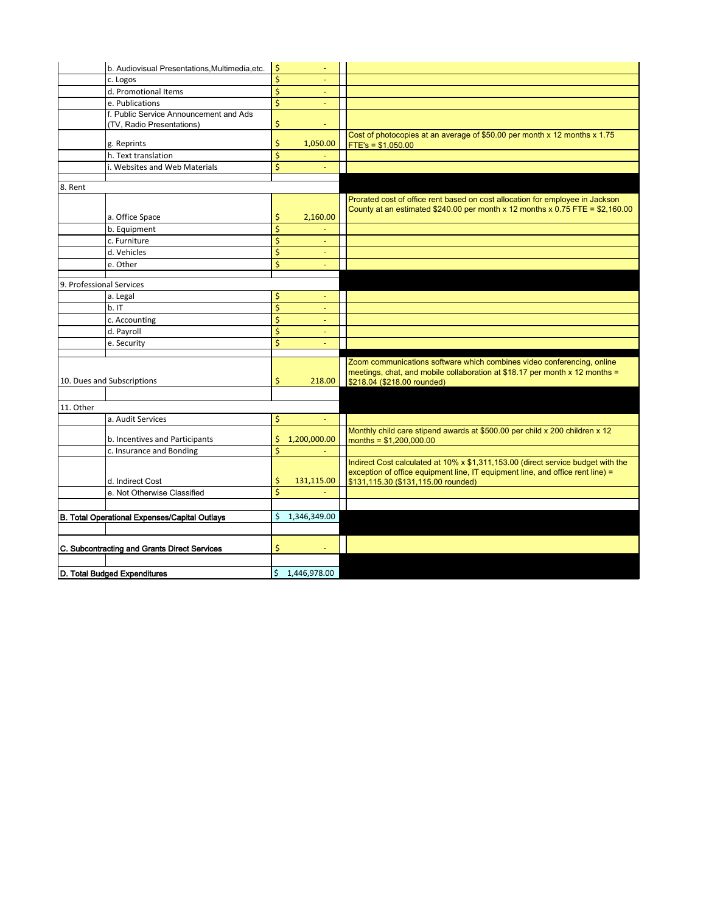|                                               | b. Audiovisual Presentations, Multimedia, etc. | \$                              | $\overline{\phantom{a}}$ |                                                                                                                                                                |
|-----------------------------------------------|------------------------------------------------|---------------------------------|--------------------------|----------------------------------------------------------------------------------------------------------------------------------------------------------------|
|                                               | c. Logos                                       | \$                              |                          |                                                                                                                                                                |
|                                               | d. Promotional Items                           | \$                              | ٠                        |                                                                                                                                                                |
|                                               | e. Publications                                | \$                              |                          |                                                                                                                                                                |
|                                               | f. Public Service Announcement and Ads         |                                 |                          |                                                                                                                                                                |
|                                               | (TV, Radio Presentations)                      | \$                              |                          |                                                                                                                                                                |
|                                               | g. Reprints                                    | \$                              | 1,050.00                 | Cost of photocopies at an average of \$50.00 per month x 12 months x 1.75<br>$FTE's = $1,050.00$                                                               |
|                                               | h. Text translation                            | \$                              |                          |                                                                                                                                                                |
|                                               | i. Websites and Web Materials                  | \$                              | ٠                        |                                                                                                                                                                |
|                                               |                                                |                                 |                          |                                                                                                                                                                |
| 8. Rent                                       |                                                |                                 |                          |                                                                                                                                                                |
|                                               |                                                |                                 |                          | Prorated cost of office rent based on cost allocation for employee in Jackson<br>County at an estimated \$240.00 per month x 12 months x 0.75 FTE = \$2,160.00 |
|                                               | a. Office Space                                | \$                              | 2,160.00                 |                                                                                                                                                                |
|                                               | b. Equipment                                   | \$                              |                          |                                                                                                                                                                |
|                                               | c. Furniture                                   | \$                              |                          |                                                                                                                                                                |
|                                               | d. Vehicles                                    | \$                              |                          |                                                                                                                                                                |
|                                               | e. Other                                       | \$                              | ٠                        |                                                                                                                                                                |
|                                               |                                                |                                 |                          |                                                                                                                                                                |
| 9. Professional Services                      |                                                |                                 |                          |                                                                                                                                                                |
|                                               | a. Legal                                       | \$                              | ٠                        |                                                                                                                                                                |
|                                               | b.1T                                           | \$                              |                          |                                                                                                                                                                |
|                                               | c. Accounting                                  | \$                              | ٠                        |                                                                                                                                                                |
|                                               | d. Payroll                                     | \$                              |                          |                                                                                                                                                                |
|                                               | e. Security                                    | $\overline{\mathsf{S}}$         |                          |                                                                                                                                                                |
|                                               |                                                |                                 |                          | Zoom communications software which combines video conferencing, online                                                                                         |
|                                               |                                                |                                 |                          | meetings, chat, and mobile collaboration at \$18.17 per month x 12 months =                                                                                    |
|                                               | 10. Dues and Subscriptions                     | \$                              | 218.00                   | \$218.04 (\$218.00 rounded)                                                                                                                                    |
|                                               |                                                |                                 |                          |                                                                                                                                                                |
| 11. Other                                     |                                                |                                 |                          |                                                                                                                                                                |
|                                               | a. Audit Services                              | \$                              |                          |                                                                                                                                                                |
|                                               | b. Incentives and Participants                 | \$                              | 1,200,000.00             | Monthly child care stipend awards at \$500.00 per child x 200 children x 12<br>months = $$1,200,000.00$                                                        |
|                                               | c. Insurance and Bonding                       | $\overline{\boldsymbol{\zeta}}$ |                          |                                                                                                                                                                |
|                                               |                                                |                                 |                          | Indirect Cost calculated at 10% x \$1,311,153.00 (direct service budget with the                                                                               |
|                                               |                                                |                                 |                          | exception of office equipment line, IT equipment line, and office rent line) =                                                                                 |
|                                               | d. Indirect Cost                               | \$                              | 131,115.00               | \$131,115.30 (\$131,115.00 rounded)                                                                                                                            |
|                                               | e. Not Otherwise Classified                    | \$                              |                          |                                                                                                                                                                |
|                                               |                                                |                                 |                          |                                                                                                                                                                |
| B. Total Operational Expenses/Capital Outlays |                                                | \$                              | 1,346,349.00             |                                                                                                                                                                |
|                                               |                                                |                                 |                          |                                                                                                                                                                |
| C. Subcontracting and Grants Direct Services  |                                                | \$                              |                          |                                                                                                                                                                |
|                                               |                                                |                                 |                          |                                                                                                                                                                |
|                                               |                                                |                                 |                          |                                                                                                                                                                |
| D. Total Budged Expenditures                  |                                                | \$                              | 1,446,978.00             |                                                                                                                                                                |